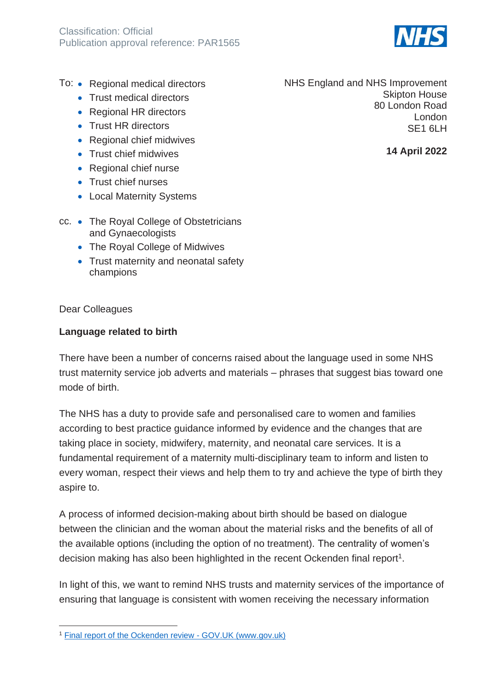

- To: Regional medical directors
	- Trust medical directors
	- Regional HR directors
	- Trust HR directors
	- Regional chief midwives
	- Trust chief midwives
	- Regional chief nurse
	- Trust chief nurses
	- Local Maternity Systems
- cc. The Royal College of Obstetricians and Gynaecologists
	- The Roval College of Midwives
	- Trust maternity and neonatal safety champions

Dear Colleagues

## **Language related to birth**

There have been a number of concerns raised about the language used in some NHS trust maternity service job adverts and materials – phrases that suggest bias toward one mode of birth.

The NHS has a duty to provide safe and personalised care to women and families according to best practice guidance informed by evidence and the changes that are taking place in society, midwifery, maternity, and neonatal care services. It is a fundamental requirement of a maternity multi-disciplinary team to inform and listen to every woman, respect their views and help them to try and achieve the type of birth they aspire to.

A process of informed decision-making about birth should be based on dialogue between the clinician and the woman about the material risks and the benefits of all of the available options (including the option of no treatment). The centrality of women's decision making has also been highlighted in the recent Ockenden final report<sup>1</sup>.

In light of this, we want to remind NHS trusts and maternity services of the importance of ensuring that language is consistent with women receiving the necessary information

NHS England and NHS Improvement Skipton House 80 London Road London SE1 6LH

**14 April 2022**

<sup>1</sup> [Final report of the Ockenden review -](https://www.gov.uk/government/publications/final-report-of-the-ockenden-review) GOV.UK (www.gov.uk)